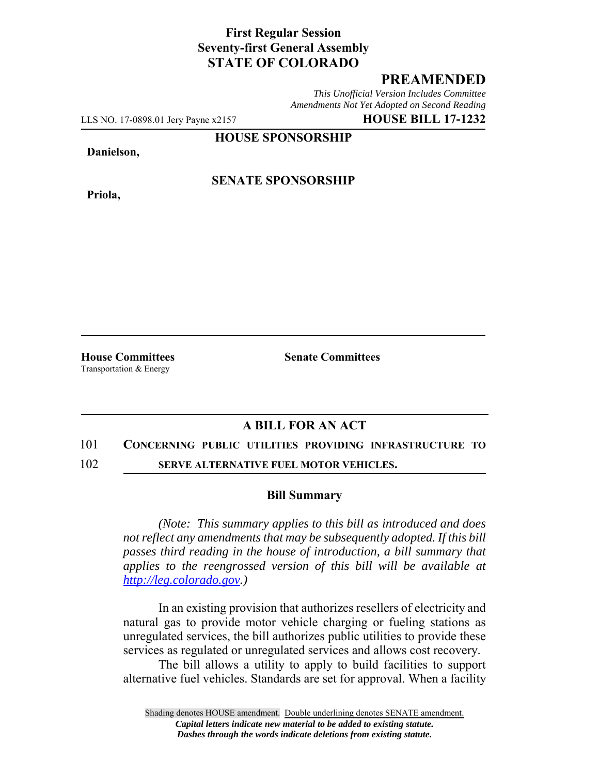## **First Regular Session Seventy-first General Assembly STATE OF COLORADO**

# **PREAMENDED**

*This Unofficial Version Includes Committee Amendments Not Yet Adopted on Second Reading*

LLS NO. 17-0898.01 Jery Payne x2157 **HOUSE BILL 17-1232**

**HOUSE SPONSORSHIP**

#### **Danielson,**

**Priola,**

## **SENATE SPONSORSHIP**

Transportation & Energy

**House Committees Senate Committees** 

### **A BILL FOR AN ACT**

#### 101 **CONCERNING PUBLIC UTILITIES PROVIDING INFRASTRUCTURE TO**

102 **SERVE ALTERNATIVE FUEL MOTOR VEHICLES.**

#### **Bill Summary**

*(Note: This summary applies to this bill as introduced and does not reflect any amendments that may be subsequently adopted. If this bill passes third reading in the house of introduction, a bill summary that applies to the reengrossed version of this bill will be available at http://leg.colorado.gov.)*

In an existing provision that authorizes resellers of electricity and natural gas to provide motor vehicle charging or fueling stations as unregulated services, the bill authorizes public utilities to provide these services as regulated or unregulated services and allows cost recovery.

The bill allows a utility to apply to build facilities to support alternative fuel vehicles. Standards are set for approval. When a facility

Shading denotes HOUSE amendment. Double underlining denotes SENATE amendment. *Capital letters indicate new material to be added to existing statute. Dashes through the words indicate deletions from existing statute.*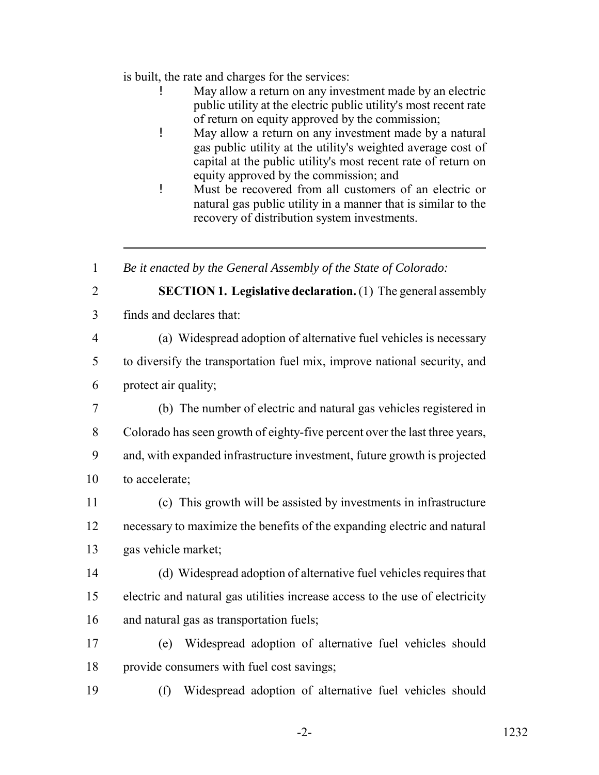is built, the rate and charges for the services:

- May allow a return on any investment made by an electric public utility at the electric public utility's most recent rate of return on equity approved by the commission;
- ! May allow a return on any investment made by a natural gas public utility at the utility's weighted average cost of capital at the public utility's most recent rate of return on equity approved by the commission; and
- ! Must be recovered from all customers of an electric or natural gas public utility in a manner that is similar to the recovery of distribution system investments.

*Be it enacted by the General Assembly of the State of Colorado:*

- 
- **SECTION 1. Legislative declaration.** (1) The general assembly
- finds and declares that:
- 

(a) Widespread adoption of alternative fuel vehicles is necessary

 to diversify the transportation fuel mix, improve national security, and protect air quality;

- (b) The number of electric and natural gas vehicles registered in Colorado has seen growth of eighty-five percent over the last three years, and, with expanded infrastructure investment, future growth is projected to accelerate;
- (c) This growth will be assisted by investments in infrastructure necessary to maximize the benefits of the expanding electric and natural gas vehicle market;
- (d) Widespread adoption of alternative fuel vehicles requires that electric and natural gas utilities increase access to the use of electricity and natural gas as transportation fuels;
- (e) Widespread adoption of alternative fuel vehicles should provide consumers with fuel cost savings;
- (f) Widespread adoption of alternative fuel vehicles should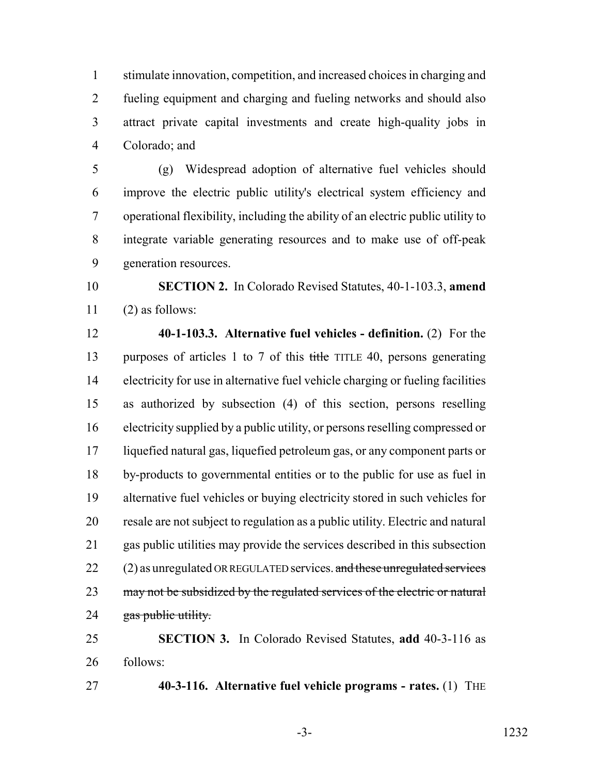stimulate innovation, competition, and increased choices in charging and fueling equipment and charging and fueling networks and should also attract private capital investments and create high-quality jobs in Colorado; and

 (g) Widespread adoption of alternative fuel vehicles should improve the electric public utility's electrical system efficiency and operational flexibility, including the ability of an electric public utility to integrate variable generating resources and to make use of off-peak generation resources.

 **SECTION 2.** In Colorado Revised Statutes, 40-1-103.3, **amend** (2) as follows:

**40-1-103.3. Alternative fuel vehicles - definition.** (2) For the

13 purposes of articles 1 to 7 of this title TITLE 40, persons generating electricity for use in alternative fuel vehicle charging or fueling facilities as authorized by subsection (4) of this section, persons reselling electricity supplied by a public utility, or persons reselling compressed or liquefied natural gas, liquefied petroleum gas, or any component parts or by-products to governmental entities or to the public for use as fuel in alternative fuel vehicles or buying electricity stored in such vehicles for

 resale are not subject to regulation as a public utility. Electric and natural gas public utilities may provide the services described in this subsection (2) as unregulated OR REGULATED services. and these unregulated services 23 may not be subsidized by the regulated services of the electric or natural 24 gas public utility.

 **SECTION 3.** In Colorado Revised Statutes, **add** 40-3-116 as follows:

**40-3-116. Alternative fuel vehicle programs - rates.** (1) THE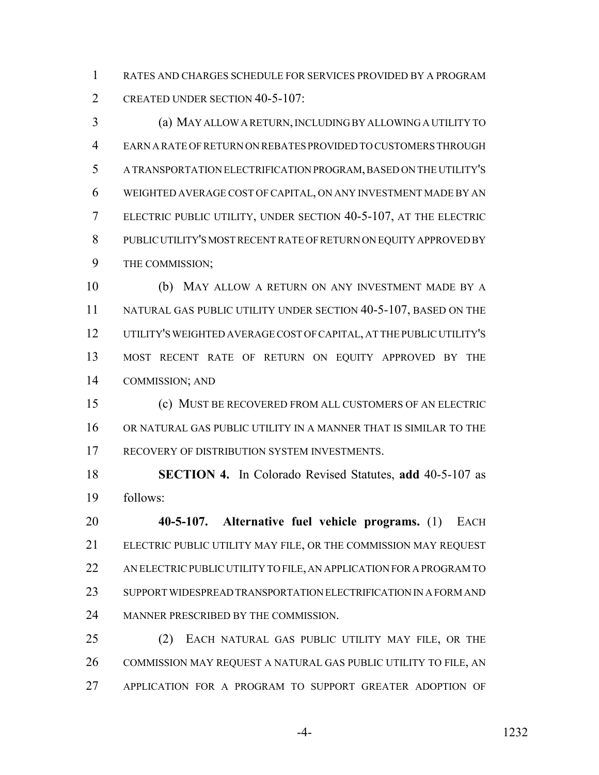RATES AND CHARGES SCHEDULE FOR SERVICES PROVIDED BY A PROGRAM CREATED UNDER SECTION 40-5-107:

 (a) MAY ALLOW A RETURN, INCLUDING BY ALLOWING A UTILITY TO EARN A RATE OF RETURN ON REBATES PROVIDED TO CUSTOMERS THROUGH A TRANSPORTATION ELECTRIFICATION PROGRAM, BASED ON THE UTILITY'S WEIGHTED AVERAGE COST OF CAPITAL, ON ANY INVESTMENT MADE BY AN ELECTRIC PUBLIC UTILITY, UNDER SECTION 40-5-107, AT THE ELECTRIC PUBLIC UTILITY'S MOST RECENT RATE OF RETURN ON EQUITY APPROVED BY THE COMMISSION;

 (b) MAY ALLOW A RETURN ON ANY INVESTMENT MADE BY A 11 NATURAL GAS PUBLIC UTILITY UNDER SECTION 40-5-107, BASED ON THE UTILITY'S WEIGHTED AVERAGE COST OF CAPITAL, AT THE PUBLIC UTILITY'S MOST RECENT RATE OF RETURN ON EQUITY APPROVED BY THE COMMISSION; AND

 (c) MUST BE RECOVERED FROM ALL CUSTOMERS OF AN ELECTRIC OR NATURAL GAS PUBLIC UTILITY IN A MANNER THAT IS SIMILAR TO THE 17 RECOVERY OF DISTRIBUTION SYSTEM INVESTMENTS.

 **SECTION 4.** In Colorado Revised Statutes, **add** 40-5-107 as follows:

 **40-5-107. Alternative fuel vehicle programs.** (1) EACH ELECTRIC PUBLIC UTILITY MAY FILE, OR THE COMMISSION MAY REQUEST AN ELECTRIC PUBLIC UTILITY TO FILE, AN APPLICATION FOR A PROGRAM TO SUPPORT WIDESPREAD TRANSPORTATION ELECTRIFICATION IN A FORM AND MANNER PRESCRIBED BY THE COMMISSION.

 (2) EACH NATURAL GAS PUBLIC UTILITY MAY FILE, OR THE COMMISSION MAY REQUEST A NATURAL GAS PUBLIC UTILITY TO FILE, AN APPLICATION FOR A PROGRAM TO SUPPORT GREATER ADOPTION OF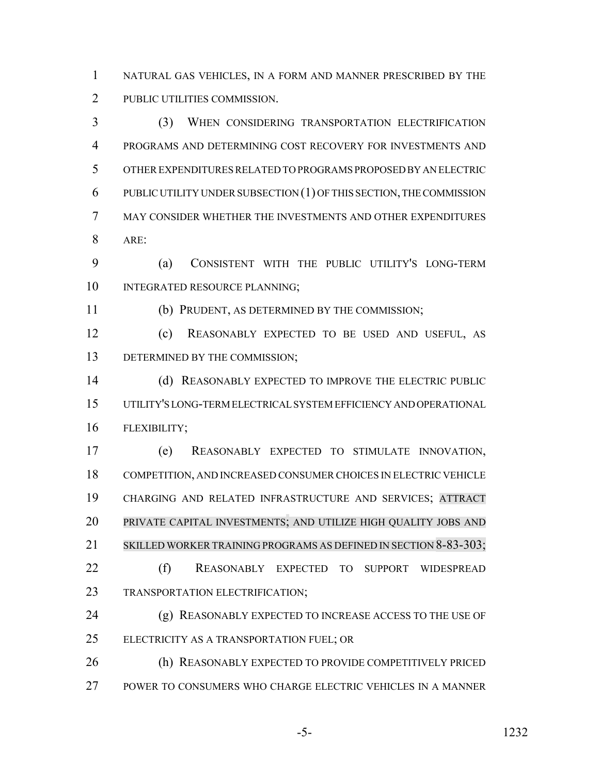NATURAL GAS VEHICLES, IN A FORM AND MANNER PRESCRIBED BY THE PUBLIC UTILITIES COMMISSION.

 (3) WHEN CONSIDERING TRANSPORTATION ELECTRIFICATION PROGRAMS AND DETERMINING COST RECOVERY FOR INVESTMENTS AND OTHER EXPENDITURES RELATED TO PROGRAMS PROPOSED BY AN ELECTRIC PUBLIC UTILITY UNDER SUBSECTION (1) OF THIS SECTION, THE COMMISSION MAY CONSIDER WHETHER THE INVESTMENTS AND OTHER EXPENDITURES ARE:

 (a) CONSISTENT WITH THE PUBLIC UTILITY'S LONG-TERM 10 INTEGRATED RESOURCE PLANNING:

(b) PRUDENT, AS DETERMINED BY THE COMMISSION;

 (c) REASONABLY EXPECTED TO BE USED AND USEFUL, AS 13 DETERMINED BY THE COMMISSION;

 (d) REASONABLY EXPECTED TO IMPROVE THE ELECTRIC PUBLIC UTILITY'S LONG-TERM ELECTRICAL SYSTEM EFFICIENCY AND OPERATIONAL FLEXIBILITY;

 (e) REASONABLY EXPECTED TO STIMULATE INNOVATION, COMPETITION, AND INCREASED CONSUMER CHOICES IN ELECTRIC VEHICLE CHARGING AND RELATED INFRASTRUCTURE AND SERVICES; ATTRACT PRIVATE CAPITAL INVESTMENTS; AND UTILIZE HIGH QUALITY JOBS AND SKILLED WORKER TRAINING PROGRAMS AS DEFINED IN SECTION 8-83-303; (f) REASONABLY EXPECTED TO SUPPORT WIDESPREAD

TRANSPORTATION ELECTRIFICATION;

 (g) REASONABLY EXPECTED TO INCREASE ACCESS TO THE USE OF ELECTRICITY AS A TRANSPORTATION FUEL; OR

 (h) REASONABLY EXPECTED TO PROVIDE COMPETITIVELY PRICED POWER TO CONSUMERS WHO CHARGE ELECTRIC VEHICLES IN A MANNER

-5- 1232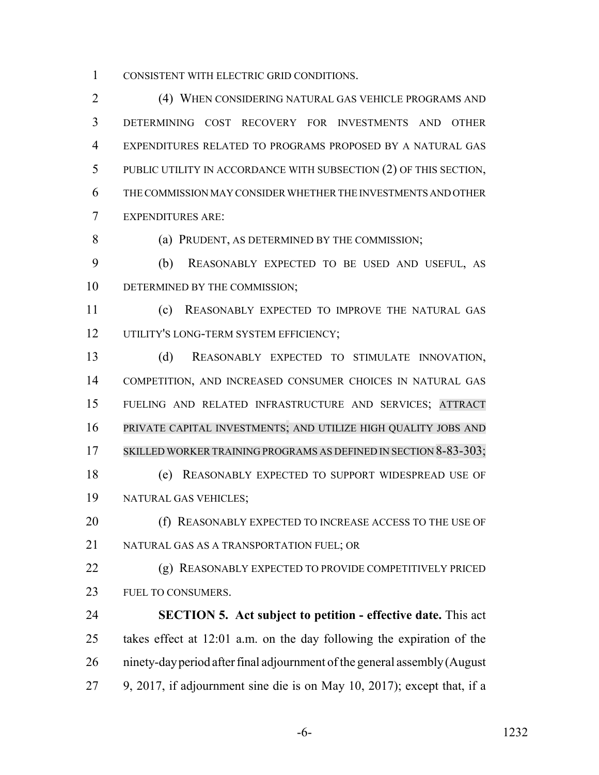CONSISTENT WITH ELECTRIC GRID CONDITIONS.

 (4) WHEN CONSIDERING NATURAL GAS VEHICLE PROGRAMS AND DETERMINING COST RECOVERY FOR INVESTMENTS AND OTHER EXPENDITURES RELATED TO PROGRAMS PROPOSED BY A NATURAL GAS PUBLIC UTILITY IN ACCORDANCE WITH SUBSECTION (2) OF THIS SECTION, THE COMMISSION MAY CONSIDER WHETHER THE INVESTMENTS AND OTHER EXPENDITURES ARE:

(a) PRUDENT, AS DETERMINED BY THE COMMISSION;

 (b) REASONABLY EXPECTED TO BE USED AND USEFUL, AS 10 DETERMINED BY THE COMMISSION;

 (c) REASONABLY EXPECTED TO IMPROVE THE NATURAL GAS 12 UTILITY'S LONG-TERM SYSTEM EFFICIENCY;

 (d) REASONABLY EXPECTED TO STIMULATE INNOVATION, COMPETITION, AND INCREASED CONSUMER CHOICES IN NATURAL GAS FUELING AND RELATED INFRASTRUCTURE AND SERVICES; ATTRACT PRIVATE CAPITAL INVESTMENTS; AND UTILIZE HIGH QUALITY JOBS AND 17 SKILLED WORKER TRAINING PROGRAMS AS DEFINED IN SECTION 8-83-303;

 (e) REASONABLY EXPECTED TO SUPPORT WIDESPREAD USE OF NATURAL GAS VEHICLES;

20 (f) REASONABLY EXPECTED TO INCREASE ACCESS TO THE USE OF NATURAL GAS AS A TRANSPORTATION FUEL; OR

 (g) REASONABLY EXPECTED TO PROVIDE COMPETITIVELY PRICED FUEL TO CONSUMERS.

 **SECTION 5. Act subject to petition - effective date.** This act takes effect at 12:01 a.m. on the day following the expiration of the ninety-day period after final adjournment of the general assembly (August 9, 2017, if adjournment sine die is on May 10, 2017); except that, if a